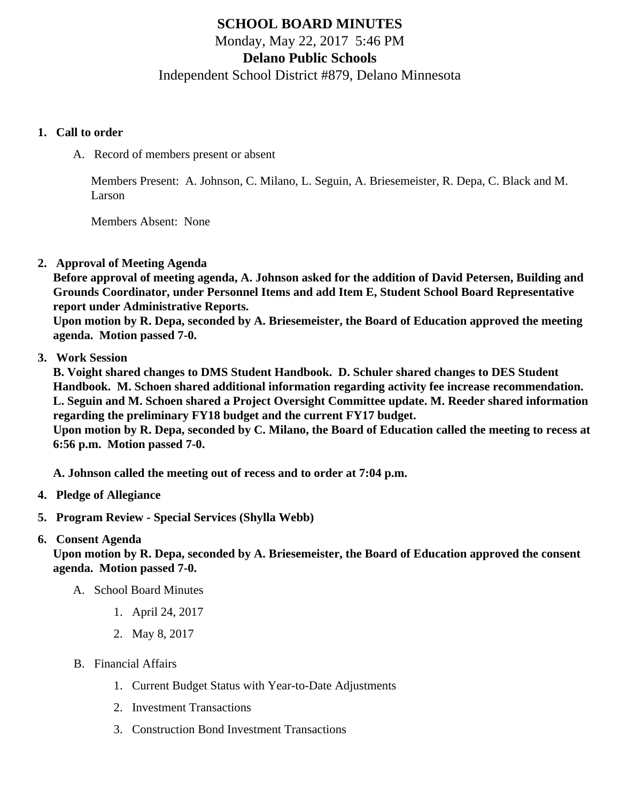# SCHOOL BOARD MINUTES Monday, May 22, 2017 5:46 PM Delano Public Schools Independent School District #879, Delano Minnesota

- 1. Call to order
	- A. Record of members present or absent

Members Present: A. Johnson, C. Milano, L. Seguin, A. Briesemeister, R. Depa, C. Black and M. Larson

Members Absent: None

2. Approval of Meeting Agenda

Before approval of meeting agenda, A. Johnson asked for the addition of David Petersen, Building and Grounds Coordinator, under Personnel Items and add Item E, Student School Board Representative report under Administrative Reports.

Upon motion by R. Depa, seconded by A. Briesemeister, the Board of Education approved the meeting agenda. Motion passed 7-0.

3. Work Session

B. Voight shared changes to DMS Student Handbook. D. Schuler shared changes to DES Student Handbook. M. Schoen shared additional information regarding activity fee increase recommendation. L. Seguin and M. Schoen shared a Project Oversight Committee update. M. Reeder shared information regarding the preliminary FY18 budget and the current FY17 budget.

Upon motion by R. Depa, seconded by C. Milano, the Board of Education called the meeting to recess at 6:56 p.m. Motion passed 7-0.

A. Johnson called the meeting out of recess and to order at 7:04 p.m.

- 4. Pledge of Allegiance
- 5. Program Review - [Special Service](/docs/district/District_Forms/Delano_Special_Education_-_Board.pdf)s Shylla Webb)

#### 6. Consent Agenda

Upon motion by R. Depa, seconded by A. Briesemeister, the Board of Education approved the consent agenda. Motion passed 7-0.

- A. School Board Minutes
	- 1. [April 24, 2017](/docs/district/District_Forms/April_Board_Minutes_4.24.17.pdf)
	- 2. [May 8, 2017](/docs/district/District_Forms/SpecialMeetingMinutes_5.8.17.pdf)
- B. Financial Affairs
	- 1. [Current Budget Status with Year-to-Date Adjustm](/docs/district/Business_Office/Budget_Report_May_2017.pdf)ents
	- 2. [Investment Transactio](/docs/district/Business_Office/April_2017_Investment_Schedule.pdf)ns
	- 3. [Construction Bond Investment Transacti](/docs/district/Business_Office/Bond_Investment_schedule_Apr_17.pdf)ons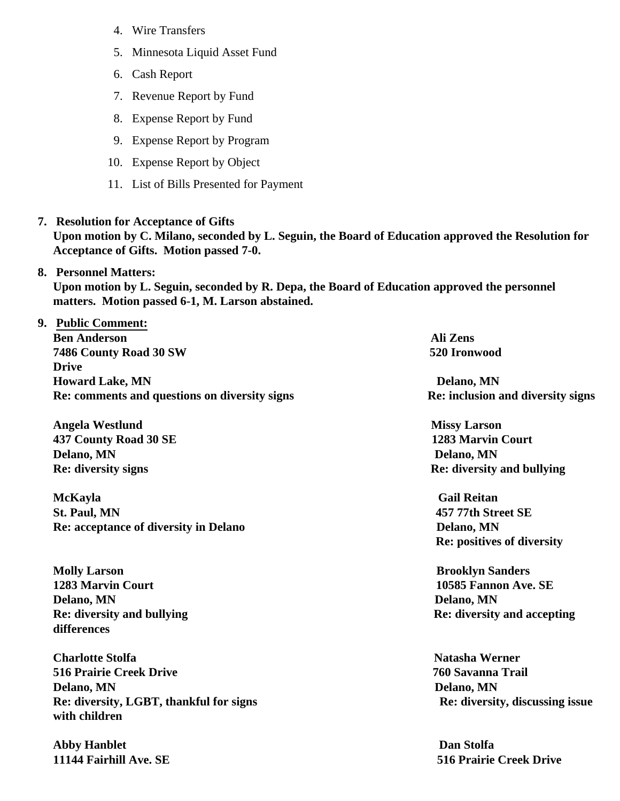- 4. [Wire Transfer](/docs/district/Business_Office/April_2017_Wire_Transfers.pdf)s
- 5. [Minnesota Liquid Asset Fun](/docs/district/Business_Office/April_2017_Liquid_Asset_Fund_(2).pdf )d
- 6. [Cash Repo](/docs/district/Business_Office/April_2017_Cash_Report.pdf)rt
- 7. [Revenue Report by Fu](/docs/district/Business_Office/SCHOOL_BOARD_REPORTS_-_REVENUE_BY_FUND_TOTAL__(Date__6_2017).pdf)nd
- 8. [Expense Report by Fu](/docs/district/Business_Office/SCHOOL_BOARD_REPORTS_-_EXP_BY_FUND_TOTAL__(Date__6_2017).pdf)nd
- 9. [Expense Report by Progra](/docs/district/Business_Office/SCHOOL_BOARD_REPORTS_-_EXPENDITURES_BY_PROGRAM__(Date__6_2017).pdf)m
- 10. [Expense Report by Obje](/docs/district/Business_Office/SCHOOL_BOARD_REPORTS_-_EXPENDITURES_BY_OBJECT__(Date__6_2017).pdf)ct
- 11. [List of Bills Presented for Payme](/docs/district/Business_Office/DETAIL_OF_MONTHLY_BILLS_PRESENTED_FOR_PAYMENT_(Dates__03_01_17_-_05_17_17).pdf)nt
- 7. [Resolution for Acceptance of Gifts](/docs/district/Business_Office/Resolution_for_Acceptance_of_Gifts_5.22.17.pdf) Upon motion by C. Milano, seconded by L. Seguin, the Board of Education approved the Resolution for Acceptance of Gifts. Motion passed 7-0.
- 8. [Personnel Matters:](/docs/district/05.22.17.pdf) Upon motion by L. Seguin, seconded by R. Depa, the Board of Education approved the personnel matters. Motion passed 6-1, M. Larson abstained.
- 9. Public Comment: Ben Anderson Ali Zens and Ali Zens and Ali Zens and Ali Zens and Ali Zens and Ali Zens and Ali Zens and Ali Ze 7486 County Road 30 SW 520 Ironwood Drive Howard Lake, MN  $D$  Delano, MN Re: comments and questions on diversity signs Re: inclusion and divergity

Angela Westlund **Missy Larson** Missy Larson And The 1283 Marvin Court 1283 Marvin Court Delano, MN Delano, MN

McKayla Gail Reitan St. Paul, MN 457 77th Street SE Re: acceptance of diversity in Delano Delano Delano, MN

Molly Larson Brooklyn Sanders 1283 Marvin Court 10585 Fannon Ave. SE Delano, MN Delano, MN differences

Charlotte Stolfa Natasha Werner Natasha Werner Natasha Werner Natasha Werner Natasha Werner 516 Prairie Creek Drive 760 Savanna Trail Delano, MN Delano, MN Re: diversity, LGBT, thankful for signs Re: diversity, discussing issues and in the Re: diversity, discussing with children

Abby Hanblet **Dan Stolfa** 

Re: diversity signs **Received Access 2018** Received Access Receiversity and bullying

Re: positives of diversity

Re: diversity and bullying Re: diversity and accepting

11144 Fairhill Ave. SE 516 Prairie Creek Drive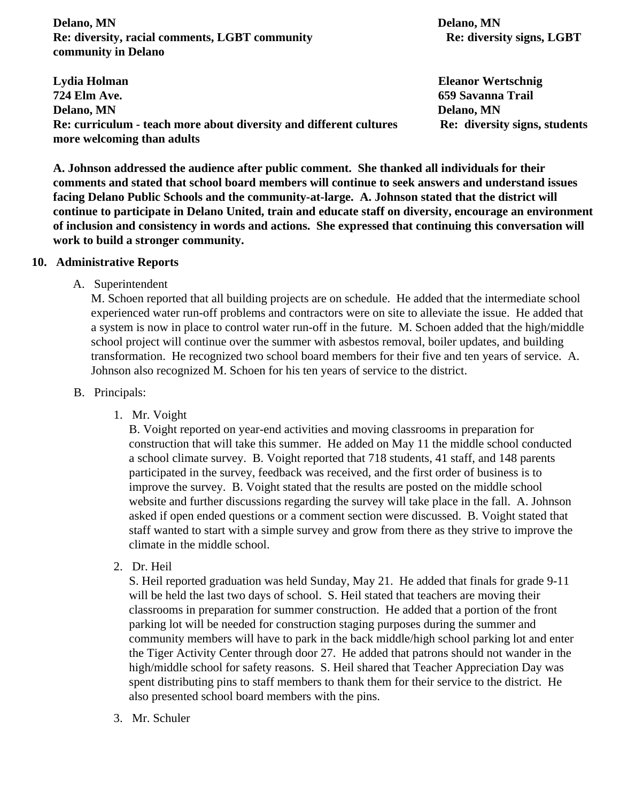**Delano, MN** Delano, MN **Re: diversity, racial comments, LGBT community Re: diversity signs, LGBT community in Delano**

**Lydia Holman Eleanor Wertschnig 724 Elm Ave. 659 Savanna Trail Delano, MN Delano, MN** Re: curriculum - teach more about diversity and different cultures Re: diversity signs, students **more welcoming than adults**

**A. Johnson addressed the audience after public comment. She thanked all individuals for their comments and stated that school board members will continue to seek answers and understand issues facing Delano Public Schools and the community-at-large. A. Johnson stated that the district will continue to participate in Delano United, train and educate staff on diversity, encourage an environment of inclusion and consistency in words and actions. She expressed that continuing this conversation will work to build a stronger community.**

#### **10. Administrative Reports**

A. Superintendent

M. Schoen reported that all building projects are on schedule. He added that the intermediate school experienced water run-off problems and contractors were on site to alleviate the issue. He added that a system is now in place to control water run-off in the future. M. Schoen added that the high/middle school project will continue over the summer with asbestos removal, boiler updates, and building transformation. He recognized two school board members for their five and ten years of service. A. Johnson also recognized M. Schoen for his ten years of service to the district.

#### B. Principals:

1. Mr. Voight

B. Voight reported on year-end activities and moving classrooms in preparation for construction that will take this summer. He added on May 11 the middle school conducted a school climate survey. B. Voight reported that 718 students, 41 staff, and 148 parents participated in the survey, feedback was received, and the first order of business is to improve the survey. B. Voight stated that the results are posted on the middle school website and further discussions regarding the survey will take place in the fall. A. Johnson asked if open ended questions or a comment section were discussed. B. Voight stated that staff wanted to start with a simple survey and grow from there as they strive to improve the climate in the middle school.

2. Dr. Heil

S. Heil reported graduation was held Sunday, May 21. He added that finals for grade 9-11 will be held the last two days of school. S. Heil stated that teachers are moving their classrooms in preparation for summer construction. He added that a portion of the front parking lot will be needed for construction staging purposes during the summer and community members will have to park in the back middle/high school parking lot and enter the Tiger Activity Center through door 27. He added that patrons should not wander in the high/middle school for safety reasons. S. Heil shared that Teacher Appreciation Day was spent distributing pins to staff members to thank them for their service to the district. He also presented school board members with the pins.

3. Mr. Schuler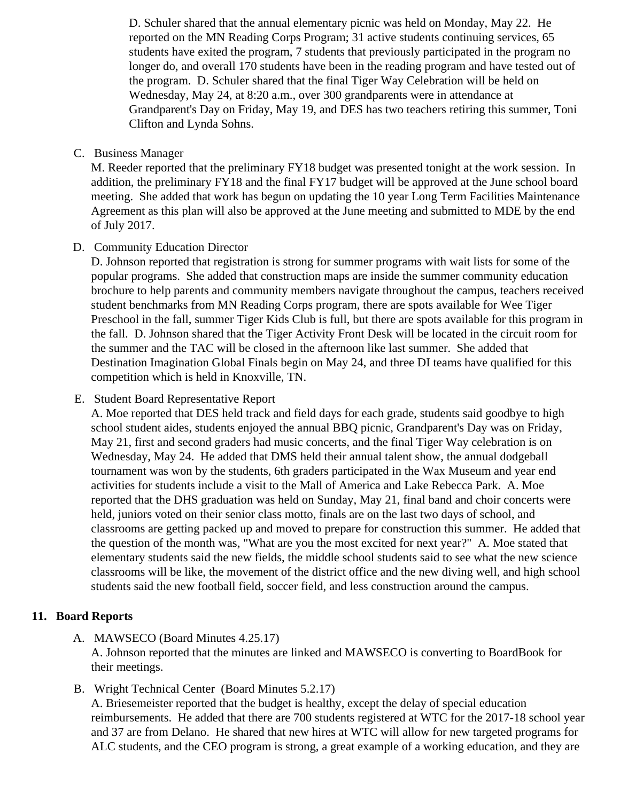D. Schuler shared that the annual elementary picnic was held on Monday, May 22. He reported on the MN Reading Corps Program; 31 active students continuing services, 65 students have exited the program, 7 students that previously participated in the program no longer do, and overall 170 students have been in the reading program and have tested out the program. D. Schuler shared that the final Tiger Way Celebration will be held on Wednesday, May 24, at 8:20 a.m., over 300 grandparents were in attendance at Grandparent's Day on Friday, May 19, and DES has two teachers retiring this summer, Toni Clifton and Lynda Sohns.

### C. Business Manager

M. Reeder reported that the preliminary FY18 budget was presented tonight at the work session. I addition, the preliminary FY18 and the final FY17 budget will be approved at the June school board meeting. She added that work has begun on updating the 10 year Long Term Facilities Maintenan Agreement as this plan will also be approved at the June meeting and submitted to MDE by the en of July 2017.

# D. Community Education Director

D. Johnson reported that registration is strong for summer programs with wait lists for some of the popular programs. She added that construction maps are inside the summer community education brochure to help parents and community members navigate throughout the campus, teachers rece student benchmarks from MN Reading Corps program, there are spots available for Wee Tiger Preschool in the fall, summer Tiger Kids Club is full, but there are spots available for this program in the fall. D. Johnson shared that the Tiger Activity Front Desk will be located in the circuit room for the summer and the TAC will be closed in the afternoon like last summer. She added that Destination Imagination Global Finals begin on May 24, and three DI teams have qualified for this competition which is held in Knoxville, TN.

# E. Student Board Representative Report

A. Moe reported that DES held track and field days for each grade, students said goodbye to high school student aides, students enjoyed the annual BBQ picnic, Grandparent's Day was on Friday, May 21, first and second graders had music concerts, and the final Tiger Way celebration is on Wednesday, May 24. He added that DMS held their annual talent show, the annual dodgeball tournament was won by the students, 6th graders participated in the Wax Museum and year end activities for students include a visit to the Mall of America and Lake Rebecca Park. A. Moe reported that the DHS graduation was held on Sunday, May 21, final band and choir concerts were held, juniors voted on their senior class motto, finals are on the last two days of school, and classrooms are getting packed up and moved to prepare for construction this summer. He added to the question of the month was, "What are you the most excited for next year?" A. Moe stated that elementary students said the new fields, the middle school students said to see what the new scier classrooms will be like, the movement of the district office and the new diving well, and high school students said the new football field, soccer field, and less construction around the campus.

# 11. Board Reports

A. MAWSECO Board Minutes 4.25.17

A. Johnson reported that the minutes are linked and MAWSECO is converting to BoardBook for their meetings.

B. Wright Technical Center [Board Minutes 5.2.1](/docs/district/District_Forms/WTC_Meeting_Minutes_5.2.17.pdf)[\)](/docs/district/District_Forms/WTC_Meeting_Minutes_5.2.17.pdf)7

A. Briesemeister reported that the budget is healthy, except the delay of special education reimbursements. He added that there are 700 students registered at WTC for the 2017-18 school and 37 are from Delano. He shared that new hires at WTC will allow for new targeted programs fo ALC students, and the CEO program is strong, a great example of a working education, and they a